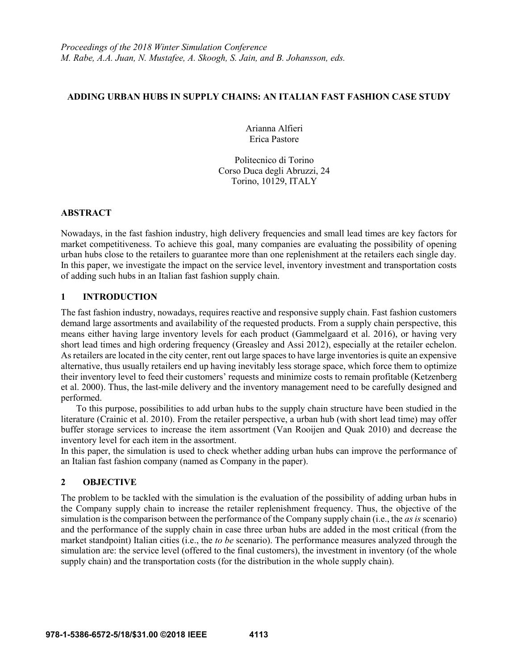## **ADDING URBAN HUBS IN SUPPLY CHAINS: AN ITALIAN FAST FASHION CASE STUDY**

Arianna Alfieri Erica Pastore

Politecnico di Torino Corso Duca degli Abruzzi, 24 Torino, 10129, ITALY

#### **ABSTRACT**

Nowadays, in the fast fashion industry, high delivery frequencies and small lead times are key factors for market competitiveness. To achieve this goal, many companies are evaluating the possibility of opening urban hubs close to the retailers to guarantee more than one replenishment at the retailers each single day. In this paper, we investigate the impact on the service level, inventory investment and transportation costs of adding such hubs in an Italian fast fashion supply chain.

# **1 INTRODUCTION**

The fast fashion industry, nowadays, requires reactive and responsive supply chain. Fast fashion customers demand large assortments and availability of the requested products. From a supply chain perspective, this means either having large inventory levels for each product (Gammelgaard et al. 2016), or having very short lead times and high ordering frequency (Greasley and Assi 2012), especially at the retailer echelon. As retailers are located in the city center, rent out large spaces to have large inventories is quite an expensive alternative, thus usually retailers end up having inevitably less storage space, which force them to optimize their inventory level to feed their customers' requests and minimize costs to remain profitable (Ketzenberg et al. 2000). Thus, the last-mile delivery and the inventory management need to be carefully designed and performed.

To this purpose, possibilities to add urban hubs to the supply chain structure have been studied in the literature (Crainic et al. 2010). From the retailer perspective, a urban hub (with short lead time) may offer buffer storage services to increase the item assortment (Van Rooijen and Quak 2010) and decrease the inventory level for each item in the assortment.

In this paper, the simulation is used to check whether adding urban hubs can improve the performance of an Italian fast fashion company (named as Company in the paper).

## **2 OBJECTIVE**

The problem to be tackled with the simulation is the evaluation of the possibility of adding urban hubs in the Company supply chain to increase the retailer replenishment frequency. Thus, the objective of the simulation is the comparison between the performance of the Company supply chain (i.e., the *as is* scenario) and the performance of the supply chain in case three urban hubs are added in the most critical (from the market standpoint) Italian cities (i.e., the *to be* scenario). The performance measures analyzed through the simulation are: the service level (offered to the final customers), the investment in inventory (of the whole supply chain) and the transportation costs (for the distribution in the whole supply chain).